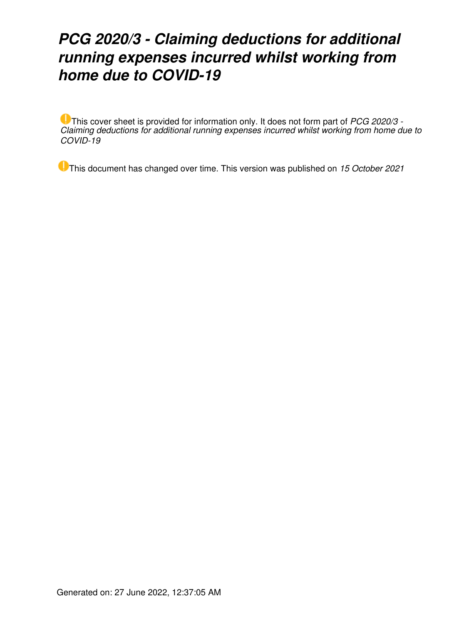# *PCG 2020/3 - Claiming deductions for additional running expenses incurred whilst working from home due to COVID-19*

This cover sheet is provided for information only. It does not form part of *PCG 2020/3 - Claiming deductions for additional running expenses incurred whilst working from home due to COVID-19*

This document has changed over time. This version was published on *15 October 2021*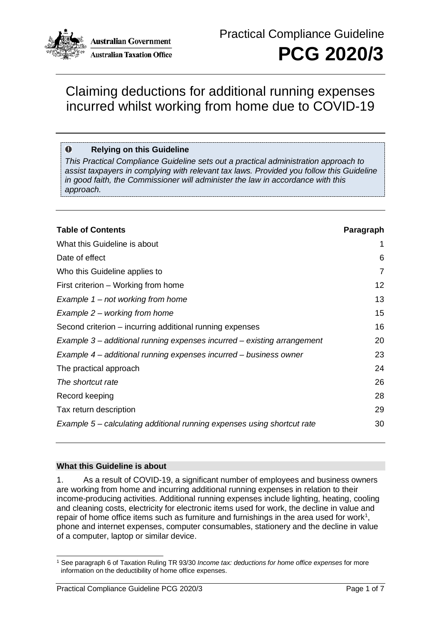

## Claiming deductions for additional running expenses incurred whilst working from home due to COVID-19

#### $\bullet$ **Relying on this Guideline**

*This Practical Compliance Guideline sets out a practical administration approach to assist taxpayers in complying with relevant tax laws. Provided you follow this Guideline in good faith, the Commissioner will administer the law in accordance with this approach.*

### **Table of Contents Paragraph**

| What this Guideline is about                                            | 1              |  |
|-------------------------------------------------------------------------|----------------|--|
| Date of effect                                                          | 6              |  |
| Who this Guideline applies to                                           | $\overline{7}$ |  |
| First criterion – Working from home                                     | 12             |  |
| Example $1$ – not working from home                                     | 13             |  |
| Example $2$ – working from home                                         | 15             |  |
| Second criterion – incurring additional running expenses                | 16             |  |
| Example 3 – additional running expenses incurred – existing arrangement | 20             |  |
| Example 4 – additional running expenses incurred – business owner       | 23             |  |
| The practical approach                                                  |                |  |
| The shortcut rate                                                       | 26             |  |
| Record keeping                                                          | 28             |  |
| Tax return description                                                  | 29             |  |
| Example 5 – calculating additional running expenses using shortcut rate | 30             |  |

#### **What this Guideline is about**

1. As a result of COVID-19, a significant number of employees and business owners are working from home and incurring additional running expenses in relation to their income-producing activities. Additional running expenses include lighting, heating, cooling and cleaning costs, electricity for electronic items used for work, the decline in value and repair of home office items such as furniture and furnishings in the area used for work<sup>[1](#page-1-0)</sup>, phone and internet expenses, computer consumables, stationery and the decline in value of a computer, laptop or similar device.

<span id="page-1-0"></span><sup>1</sup> See paragraph 6 of Taxation Ruling TR 93/30 *Income tax: deductions for home office expenses* for more information on the deductibility of home office expenses.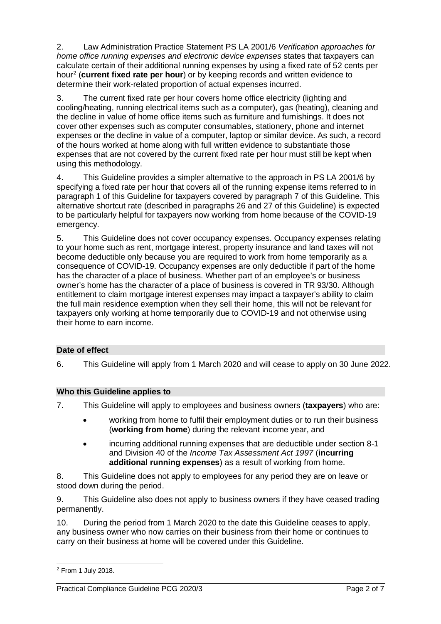2. Law Administration Practice Statement PS LA 2001/6 *Verification approaches for home office running expenses and electronic device expenses* states that taxpayers can calculate certain of their additional running expenses by using a fixed rate of 52 cents per hour[2](#page-2-0) (**current fixed rate per hour**) or by keeping records and written evidence to determine their work-related proportion of actual expenses incurred.

3. The current fixed rate per hour covers home office electricity (lighting and cooling/heating, running electrical items such as a computer), gas (heating), cleaning and the decline in value of home office items such as furniture and furnishings. It does not cover other expenses such as computer consumables, stationery, phone and internet expenses or the decline in value of a computer, laptop or similar device. As such, a record of the hours worked at home along with full written evidence to substantiate those expenses that are not covered by the current fixed rate per hour must still be kept when using this methodology.

4. This Guideline provides a simpler alternative to the approach in PS LA 2001/6 by specifying a fixed rate per hour that covers all of the running expense items referred to in paragraph 1 of this Guideline for taxpayers covered by paragraph 7 of this Guideline. This alternative shortcut rate (described in paragraphs 26 and 27 of this Guideline) is expected to be particularly helpful for taxpayers now working from home because of the COVID-19 emergency.

5. This Guideline does not cover occupancy expenses. Occupancy expenses relating to your home such as rent, mortgage interest, property insurance and land taxes will not become deductible only because you are required to work from home temporarily as a consequence of COVID-19. Occupancy expenses are only deductible if part of the home has the character of a place of business. Whether part of an employee's or business owner's home has the character of a place of business is covered in TR 93/30*.* Although entitlement to claim mortgage interest expenses may impact a taxpayer's ability to claim the full main residence exemption when they sell their home, this will not be relevant for taxpayers only working at home temporarily due to COVID-19 and not otherwise using their home to earn income.

## **Date of effect**

6. This Guideline will apply from 1 March 2020 and will cease to apply on 30 June 2022.

### **Who this Guideline applies to**

- 7. This Guideline will apply to employees and business owners (**taxpayers**) who are:
	- working from home to fulfil their employment duties or to run their business (**working from home**) during the relevant income year, and
	- incurring additional running expenses that are deductible under section 8-1 and Division 40 of the *Income Tax Assessment Act 1997* (**incurring additional running expenses**) as a result of working from home.

8. This Guideline does not apply to employees for any period they are on leave or stood down during the period.

9. This Guideline also does not apply to business owners if they have ceased trading permanently.

10. During the period from 1 March 2020 to the date this Guideline ceases to apply, any business owner who now carries on their business from their home or continues to carry on their business at home will be covered under this Guideline.

<span id="page-2-0"></span><sup>2</sup> From 1 July 2018.

Practical Compliance Guideline PCG 2020/3 Page 2 of 7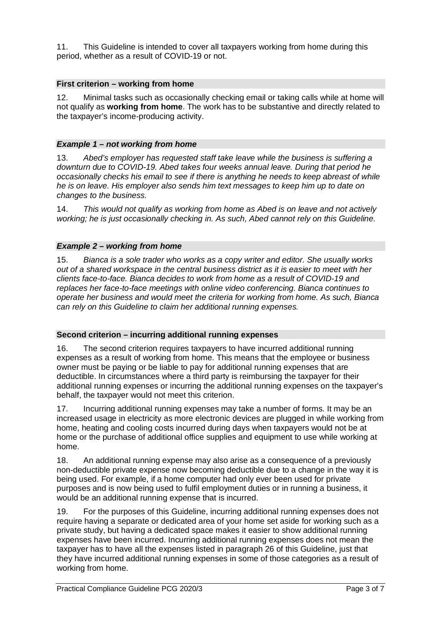11. This Guideline is intended to cover all taxpayers working from home during this period, whether as a result of COVID-19 or not.

#### **First criterion – working from home**

12. Minimal tasks such as occasionally checking email or taking calls while at home will not qualify as **working from home**. The work has to be substantive and directly related to the taxpayer's income-producing activity.

#### *Example 1 – not working from home*

13. *Abed's employer has requested staff take leave while the business is suffering a downturn due to COVID-19. Abed takes four weeks annual leave. During that period he occasionally checks his email to see if there is anything he needs to keep abreast of while he is on leave. His employer also sends him text messages to keep him up to date on changes to the business.*

14. *This would not qualify as working from home as Abed is on leave and not actively working; he is just occasionally checking in. As such, Abed cannot rely on this Guideline.*

#### *Example 2 – working from home*

15. *Bianca is a sole trader who works as a copy writer and editor. She usually works out of a shared workspace in the central business district as it is easier to meet with her clients face-to-face. Bianca decides to work from home as a result of COVID-19 and replaces her face-to-face meetings with online video conferencing. Bianca continues to operate her business and would meet the criteria for working from home. As such, Bianca can rely on this Guideline to claim her additional running expenses.*

#### **Second criterion – incurring additional running expenses**

16. The second criterion requires taxpayers to have incurred additional running expenses as a result of working from home. This means that the employee or business owner must be paying or be liable to pay for additional running expenses that are deductible. In circumstances where a third party is reimbursing the taxpayer for their additional running expenses or incurring the additional running expenses on the taxpayer's behalf, the taxpayer would not meet this criterion.

17. Incurring additional running expenses may take a number of forms. It may be an increased usage in electricity as more electronic devices are plugged in while working from home, heating and cooling costs incurred during days when taxpayers would not be at home or the purchase of additional office supplies and equipment to use while working at home.

18. An additional running expense may also arise as a consequence of a previously non-deductible private expense now becoming deductible due to a change in the way it is being used. For example, if a home computer had only ever been used for private purposes and is now being used to fulfil employment duties or in running a business, it would be an additional running expense that is incurred.

19. For the purposes of this Guideline, incurring additional running expenses does not require having a separate or dedicated area of your home set aside for working such as a private study, but having a dedicated space makes it easier to show additional running expenses have been incurred. Incurring additional running expenses does not mean the taxpayer has to have all the expenses listed in paragraph 26 of this Guideline, just that they have incurred additional running expenses in some of those categories as a result of working from home.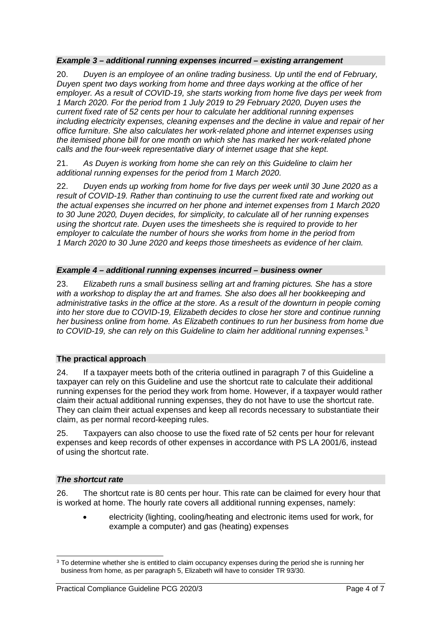#### *Example 3 – additional running expenses incurred – existing arrangement*

20. *Duyen is an employee of an online trading business. Up until the end of February, Duyen spent two days working from home and three days working at the office of her employer. As a result of COVID-19, she starts working from home five days per week from 1 March 2020. For the period from 1 July 2019 to 29 February 2020, Duyen uses the current fixed rate of 52 cents per hour to calculate her additional running expenses including electricity expenses, cleaning expenses and the decline in value and repair of her office furniture. She also calculates her work-related phone and internet expenses using the itemised phone bill for one month on which she has marked her work-related phone calls and the four-week representative diary of internet usage that she kept.*

21. *As Duyen is working from home she can rely on this Guideline to claim her additional running expenses for the period from 1 March 2020.*

22. *Duyen ends up working from home for five days per week until 30 June 2020 as a result of COVID-19. Rather than continuing to use the current fixed rate and working out the actual expenses she incurred on her phone and internet expenses from 1 March 2020 to 30 June 2020, Duyen decides, for simplicity, to calculate all of her running expenses using the shortcut rate. Duyen uses the timesheets she is required to provide to her employer to calculate the number of hours she works from home in the period from 1 March 2020 to 30 June 2020 and keeps those timesheets as evidence of her claim.*

#### *Example 4 – additional running expenses incurred – business owner*

23. *Elizabeth runs a small business selling art and framing pictures. She has a store with a workshop to display the art and frames. She also does all her bookkeeping and administrative tasks in the office at the store. As a result of the downturn in people coming into her store due to COVID-19, Elizabeth decides to close her store and continue running her business online from home. As Elizabeth continues to run her business from home due to COVID-19, she can rely on this Guideline to claim her additional running expenses.*[3](#page-4-0)

### **The practical approach**

24. If a taxpayer meets both of the criteria outlined in paragraph 7 of this Guideline a taxpayer can rely on this Guideline and use the shortcut rate to calculate their additional running expenses for the period they work from home. However, if a taxpayer would rather claim their actual additional running expenses, they do not have to use the shortcut rate. They can claim their actual expenses and keep all records necessary to substantiate their claim, as per normal record-keeping rules.

25. Taxpayers can also choose to use the fixed rate of 52 cents per hour for relevant expenses and keep records of other expenses in accordance with PS LA 2001/6, instead of using the shortcut rate.

#### *The shortcut rate*

26. The shortcut rate is 80 cents per hour. This rate can be claimed for every hour that is worked at home. The hourly rate covers all additional running expenses, namely:

• electricity (lighting, cooling/heating and electronic items used for work, for example a computer) and gas (heating) expenses

<span id="page-4-0"></span><sup>&</sup>lt;sup>3</sup> To determine whether she is entitled to claim occupancy expenses during the period she is running her business from home, as per paragraph 5, Elizabeth will have to consider TR 93/30.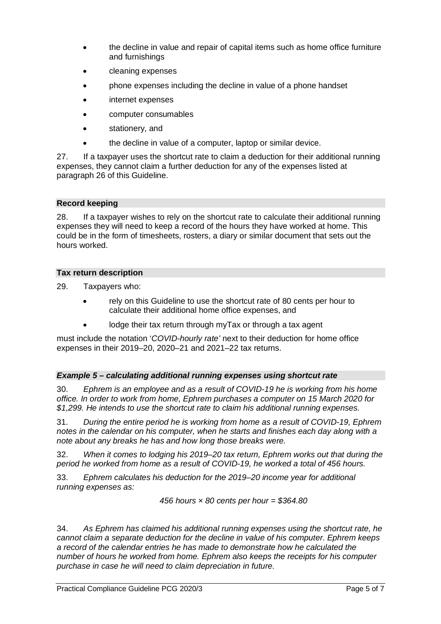- the decline in value and repair of capital items such as home office furniture and furnishings
- cleaning expenses
- phone expenses including the decline in value of a phone handset
- internet expenses
- computer consumables
- stationery, and
- the decline in value of a computer, laptop or similar device.

27. If a taxpayer uses the shortcut rate to claim a deduction for their additional running expenses, they cannot claim a further deduction for any of the expenses listed at paragraph 26 of this Guideline.

### **Record keeping**

28. If a taxpayer wishes to rely on the shortcut rate to calculate their additional running expenses they will need to keep a record of the hours they have worked at home. This could be in the form of timesheets, rosters, a diary or similar document that sets out the hours worked.

#### **Tax return description**

29. Taxpayers who:

- rely on this Guideline to use the shortcut rate of 80 cents per hour to calculate their additional home office expenses, and
- lodge their tax return through myTax or through a tax agent

must include the notation '*COVID-hourly rate'* next to their deduction for home office expenses in their 2019–20, 2020–21 and 2021–22 tax returns.

#### *Example 5 – calculating additional running expenses using shortcut rate*

30. *Ephrem is an employee and as a result of COVID-19 he is working from his home office. In order to work from home, Ephrem purchases a computer on 15 March 2020 for \$1,299. He intends to use the shortcut rate to claim his additional running expenses.*

31. *During the entire period he is working from home as a result of COVID-19, Ephrem notes in the calendar on his computer, when he starts and finishes each day along with a note about any breaks he has and how long those breaks were.*

32. *When it comes to lodging his 2019–20 tax return, Ephrem works out that during the period he worked from home as a result of COVID-19, he worked a total of 456 hours.*

33. *Ephrem calculates his deduction for the 2019–20 income year for additional running expenses as:*

*456 hours × 80 cents per hour = \$364.80*

34. *As Ephrem has claimed his additional running expenses using the shortcut rate, he cannot claim a separate deduction for the decline in value of his computer. Ephrem keeps a record of the calendar entries he has made to demonstrate how he calculated the number of hours he worked from home. Ephrem also keeps the receipts for his computer purchase in case he will need to claim depreciation in future.*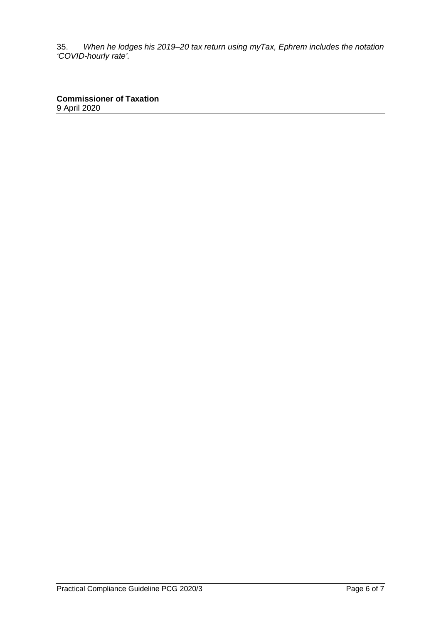35. *When he lodges his 2019–20 tax return using myTax, Ephrem includes the notation 'COVID-hourly rate'.*

**Commissioner of Taxation** 9 April 2020